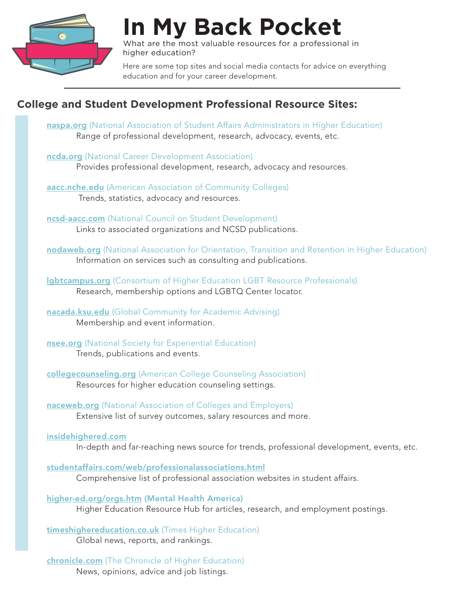

**In My Back Pocket**

What are the most valuable resources for a professional in higher education?

Here are some top sites and social media contacts for advice on everything education and for your career development.

# **College and Student Development Professional Resource Sites:**

- [naspa.org](https://www.naspa.org/) (National Association of Student Affairs Administrators in Higher Education) Range of professional development, research, advocacy, events, etc.
- [ncda.org](https://ncda.org/aws/NCDA/pt/sp/home_page) (National Career Development Association) Provides professional development, research, advocacy and resources.
- [aacc.nche.edu](http://aacc.nche.edu/Pages/default.aspx) (American Association of Community Colleges) Trends, statistics, advocacy and resources.

[ncsd-aacc.com](http://www.ncsd-aacc.com/) (National Council on Student Development) Links to associated organizations and NCSD publications.

[nodaweb.org](http://www.nodaweb.org/?) (National Association for Orientation, Transition and Retention in Higher Education) Information on services such as consulting and publications.

**Igbtcampus.org** (Consortium of Higher Education LGBT Resource Professionals) Research, membership options and LGBTQ Center locator.

[nacada.ksu.edu](https://www.nacada.ksu.edu/) (Global Community for Academic Advising) Membership and event information.

[nsee.org](http://www.nsee.org/) (National Society for Experiential Education) Trends, publications and events.

[collegecounseling.org](http://collegecounseling.org/) (American College Counseling Association) Resources for higher education counseling settings.

[naceweb.org](http://www.naceweb.org/) (National Association of Colleges and Employers) Extensive list of survey outcomes, salary resources and more.

### [insidehighered.com](https://www.insidehighered.com/)

In-depth and far-reaching news source for trends, professional development, events, etc.

[studentaffairs.com/web/professionalassociations.html](https://www.studentaffairs.com/resources/websites/professional-associations/)

Comprehensive list of professional association websites in student affairs.

[higher-ed.org/orgs.htm](http://higher-ed.org/orgs.htm) (Mental Health America) Higher Education Resource Hub for articles, research, and employment postings.

[timeshighereducation.co.uk](https://www.timeshighereducation.com/) (Times Higher Education) Global news, reports, and rankings.

[chronicle.com](http://www.chronicle.com/) (The Chronicle of Higher Education)

News, opinions, advice and job listings.